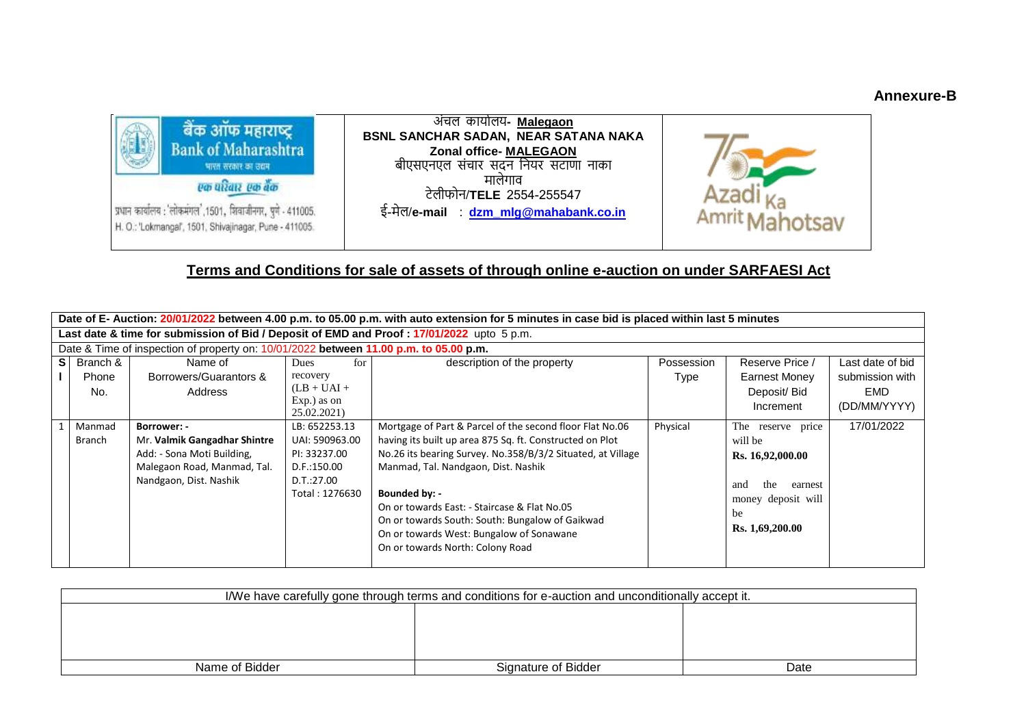## **Annexure-B**



# **Terms and Conditions for sale of assets of through online e-auction on under SARFAESI Act**

| Date of E- Auction: 20/01/2022 between 4.00 p.m. to 05.00 p.m. with auto extension for 5 minutes in case bid is placed within last 5 minutes |                                                                                       |                              |                |                                                             |            |                       |                  |
|----------------------------------------------------------------------------------------------------------------------------------------------|---------------------------------------------------------------------------------------|------------------------------|----------------|-------------------------------------------------------------|------------|-----------------------|------------------|
| Last date & time for submission of Bid / Deposit of EMD and Proof : 17/01/2022 upto 5 p.m.                                                   |                                                                                       |                              |                |                                                             |            |                       |                  |
|                                                                                                                                              | Date & Time of inspection of property on: 10/01/2022 between 11.00 p.m. to 05.00 p.m. |                              |                |                                                             |            |                       |                  |
|                                                                                                                                              | Branch &<br><b>SI</b>                                                                 | Name of                      | Dues<br>for    | description of the property                                 | Possession | Reserve Price /       | Last date of bid |
|                                                                                                                                              | Phone                                                                                 | Borrowers/Guarantors &       | recovery       |                                                             | Type       | Earnest Money         | submission with  |
|                                                                                                                                              | No.                                                                                   | Address                      | $(LB + UAI +$  |                                                             |            | Deposit/ Bid          | EMD              |
|                                                                                                                                              |                                                                                       |                              | Exp.) as on    |                                                             |            | Increment             | (DD/MM/YYYY)     |
|                                                                                                                                              |                                                                                       |                              | 25.02.2021)    |                                                             |            |                       |                  |
|                                                                                                                                              | Manmad                                                                                | Borrower: -                  | LB: 652253.13  | Mortgage of Part & Parcel of the second floor Flat No.06    | Physical   | The reserve price     | 17/01/2022       |
|                                                                                                                                              | Branch                                                                                | Mr. Valmik Gangadhar Shintre | UAI: 590963.00 | having its built up area 875 Sq. ft. Constructed on Plot    |            | will be               |                  |
|                                                                                                                                              |                                                                                       | Add: - Sona Moti Building,   | PI: 33237.00   | No.26 its bearing Survey. No.358/B/3/2 Situated, at Village |            | Rs. 16,92,000.00      |                  |
|                                                                                                                                              |                                                                                       | Malegaon Road, Manmad, Tal.  | D.F.:150.00    | Manmad, Tal. Nandgaon, Dist. Nashik                         |            |                       |                  |
|                                                                                                                                              |                                                                                       | Nandgaon, Dist. Nashik       | D.T.:27.00     |                                                             |            | the<br>earnest<br>and |                  |
|                                                                                                                                              |                                                                                       |                              | Total: 1276630 | Bounded by: -                                               |            | money deposit will    |                  |
|                                                                                                                                              |                                                                                       |                              |                | On or towards East: - Staircase & Flat No.05                |            | be                    |                  |
|                                                                                                                                              |                                                                                       |                              |                | On or towards South: South: Bungalow of Gaikwad             |            | Rs. 1,69,200.00       |                  |
|                                                                                                                                              |                                                                                       |                              |                | On or towards West: Bungalow of Sonawane                    |            |                       |                  |
|                                                                                                                                              |                                                                                       |                              |                | On or towards North: Colony Road                            |            |                       |                  |
|                                                                                                                                              |                                                                                       |                              |                |                                                             |            |                       |                  |

| I/We have carefully gone through terms and conditions for e-auction and unconditionally accept it. |                     |      |  |  |
|----------------------------------------------------------------------------------------------------|---------------------|------|--|--|
|                                                                                                    |                     |      |  |  |
|                                                                                                    |                     |      |  |  |
|                                                                                                    |                     |      |  |  |
|                                                                                                    |                     |      |  |  |
| Name of Bidder                                                                                     | Signature of Bidder | Date |  |  |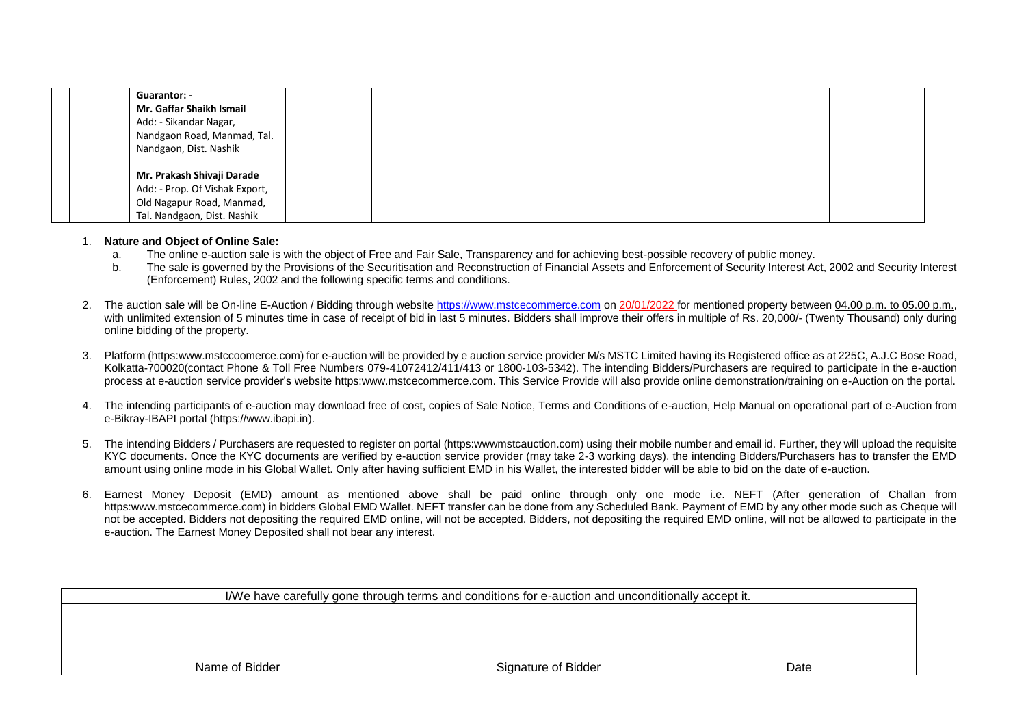| Guarantor: -                   |  |  |
|--------------------------------|--|--|
| Mr. Gaffar Shaikh Ismail       |  |  |
| Add: - Sikandar Nagar,         |  |  |
| Nandgaon Road, Manmad, Tal.    |  |  |
| Nandgaon, Dist. Nashik         |  |  |
|                                |  |  |
| Mr. Prakash Shivaji Darade     |  |  |
| Add: - Prop. Of Vishak Export, |  |  |
| Old Nagapur Road, Manmad,      |  |  |
| Tal. Nandgaon, Dist. Nashik    |  |  |

#### 1. **Nature and Object of Online Sale:**

- a. The online e-auction sale is with the object of Free and Fair Sale, Transparency and for achieving best-possible recovery of public money.
- b. The sale is governed by the Provisions of the Securitisation and Reconstruction of Financial Assets and Enforcement of Security Interest Act, 2002 and Security Interest (Enforcement) Rules, 2002 and the following specific terms and conditions.
- 2. The auction sale will be On-line E-Auction / Bidding through website [https://www.mstcecommerce.com](https://www.mstcecommerce.com/) on 20/01/2022 for mentioned property between 04.00 p.m. to 05.00 p.m., with unlimited extension of 5 minutes time in case of receipt of bid in last 5 minutes. Bidders shall improve their offers in multiple of Rs. 20,000/- (Twenty Thousand) only during online bidding of the property.
- 3. Platform (https:www.mstccoomerce.com) for e-auction will be provided by e auction service provider M/s MSTC Limited having its Registered office as at 225C, A.J.C Bose Road, Kolkatta-700020(contact Phone & Toll Free Numbers 079-41072412/411/413 or 1800-103-5342). The intending Bidders/Purchasers are required to participate in the e-auction process at e-auction service provider's website https:www.mstcecommerce.com. This Service Provide will also provide online demonstration/training on e-Auction on the portal.
- 4. The intending participants of e-auction may download free of cost, copies of Sale Notice, Terms and Conditions of e-auction, Help Manual on operational part of e-Auction from e-Bikray-IBAPI portal [\(https://www.ibapi.in\)](https://www.ibapi.in/).
- 5. The intending Bidders / Purchasers are requested to register on portal (https:wwwmstcauction.com) using their mobile number and email id. Further, they will upload the requisite KYC documents. Once the KYC documents are verified by e-auction service provider (may take 2-3 working days), the intending Bidders/Purchasers has to transfer the EMD amount using online mode in his Global Wallet. Only after having sufficient EMD in his Wallet, the interested bidder will be able to bid on the date of e-auction.
- 6. Earnest Money Deposit (EMD) amount as mentioned above shall be paid online through only one mode i.e. NEFT (After generation of Challan from https:www.mstcecommerce.com) in bidders Global EMD Wallet. NEFT transfer can be done from any Scheduled Bank. Payment of EMD by any other mode such as Cheque will not be accepted. Bidders not depositing the required EMD online, will not be accepted. Bidders, not depositing the required EMD online, will not be allowed to participate in the e-auction. The Earnest Money Deposited shall not bear any interest.

| I/We have carefully gone through terms and conditions for e-auction and unconditionally accept it. |                     |      |  |  |
|----------------------------------------------------------------------------------------------------|---------------------|------|--|--|
|                                                                                                    |                     |      |  |  |
|                                                                                                    |                     |      |  |  |
|                                                                                                    |                     |      |  |  |
|                                                                                                    |                     |      |  |  |
| Name of Bidder                                                                                     | Signature of Bidder | Date |  |  |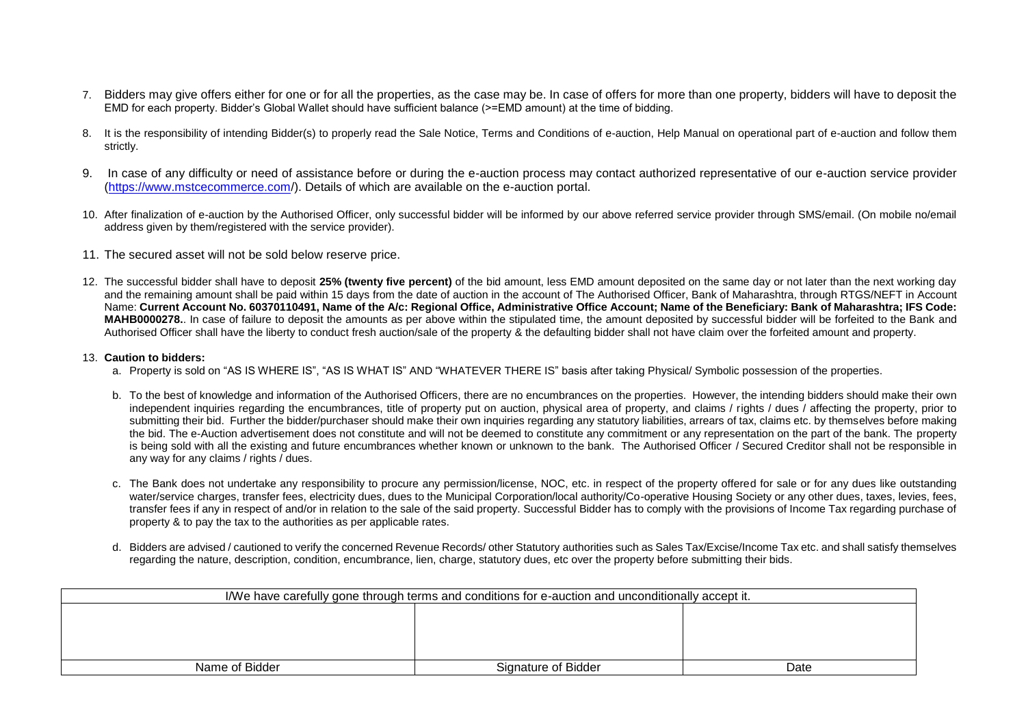- 7. Bidders may give offers either for one or for all the properties, as the case may be. In case of offers for more than one property, bidders will have to deposit the EMD for each property. Bidder's Global Wallet should have sufficient balance (>=EMD amount) at the time of bidding.
- 8. It is the responsibility of intending Bidder(s) to properly read the Sale Notice. Terms and Conditions of e-auction, Help Manual on operational part of e-auction and follow them strictly.
- 9. In case of any difficulty or need of assistance before or during the e-auction process may contact authorized representative of our e-auction service provider [\(https://www.mstcecommerce.com/](https://www.mstcecommerce.com/)). Details of which are available on the e-auction portal.
- 10. After finalization of e-auction by the Authorised Officer, only successful bidder will be informed by our above referred service provider through SMS/email. (On mobile no/email address given by them/registered with the service provider).
- 11. The secured asset will not be sold below reserve price.
- 12. The successful bidder shall have to deposit **25% (twenty five percent)** of the bid amount, less EMD amount deposited on the same day or not later than the next working day and the remaining amount shall be paid within 15 days from the date of auction in the account of The Authorised Officer, Bank of Maharashtra, through RTGS/NEFT in Account Name: **Current Account No. 60370110491, Name of the A/c: Regional Office, Administrative Office Account; Name of the Beneficiary: Bank of Maharashtra; IFS Code: MAHB0000278.**. In case of failure to deposit the amounts as per above within the stipulated time, the amount deposited by successful bidder will be forfeited to the Bank and Authorised Officer shall have the liberty to conduct fresh auction/sale of the property & the defaulting bidder shall not have claim over the forfeited amount and property.

## 13. **Caution to bidders:**

- a. Property is sold on "AS IS WHERE IS", "AS IS WHAT IS" AND "WHATEVER THERE IS" basis after taking Physical/ Symbolic possession of the properties.
- b. To the best of knowledge and information of the Authorised Officers, there are no encumbrances on the properties. However, the intending bidders should make their own independent inquiries regarding the encumbrances, title of property put on auction, physical area of property, and claims / rights / dues / affecting the property, prior to submitting their bid. Further the bidder/purchaser should make their own inquiries regarding any statutory liabilities, arrears of tax, claims etc. by themselves before making the bid. The e-Auction advertisement does not constitute and will not be deemed to constitute any commitment or any representation on the part of the bank. The property is being sold with all the existing and future encumbrances whether known or unknown to the bank. The Authorised Officer / Secured Creditor shall not be responsible in any way for any claims / rights / dues.
- c. The Bank does not undertake any responsibility to procure any permission/license, NOC, etc. in respect of the property offered for sale or for any dues like outstanding water/service charges, transfer fees, electricity dues, dues to the Municipal Corporation/local authority/Co-operative Housing Society or any other dues, taxes, levies, fees, transfer fees if any in respect of and/or in relation to the sale of the said property. Successful Bidder has to comply with the provisions of Income Tax regarding purchase of property & to pay the tax to the authorities as per applicable rates.
- d. Bidders are advised / cautioned to verify the concerned Revenue Records/ other Statutory authorities such as Sales Tax/Excise/Income Tax etc. and shall satisfy themselves regarding the nature, description, condition, encumbrance, lien, charge, statutory dues, etc over the property before submitting their bids.

| I/We have carefully gone through terms and conditions for e-auction and unconditionally accept it. |                     |      |  |  |
|----------------------------------------------------------------------------------------------------|---------------------|------|--|--|
|                                                                                                    |                     |      |  |  |
|                                                                                                    |                     |      |  |  |
|                                                                                                    |                     |      |  |  |
|                                                                                                    |                     |      |  |  |
| Name of Bidder                                                                                     | Signature of Bidder | Date |  |  |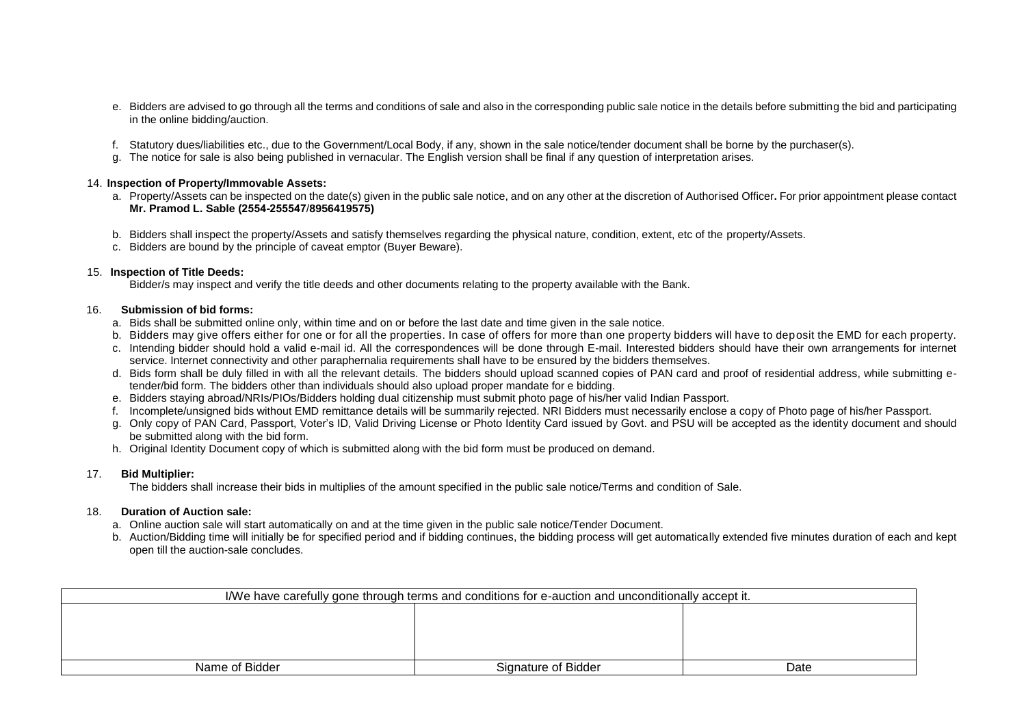- e. Bidders are advised to go through all the terms and conditions of sale and also in the corresponding public sale notice in the details before submitting the bid and participating in the online bidding/auction.
- f. Statutory dues/liabilities etc., due to the Government/Local Body, if any, shown in the sale notice/tender document shall be borne by the purchaser(s).
- g. The notice for sale is also being published in vernacular. The English version shall be final if any question of interpretation arises.

#### 14. **Inspection of Property/Immovable Assets:**

- a. Property/Assets can be inspected on the date(s) given in the public sale notice, and on any other at the discretion of Authorised Officer**.** For prior appointment please contact **Mr. Pramod L. Sable (2554-255547**/**8956419575)**
- b. Bidders shall inspect the property/Assets and satisfy themselves regarding the physical nature, condition, extent, etc of the property/Assets.
- c. Bidders are bound by the principle of caveat emptor (Buyer Beware).

## 15. **Inspection of Title Deeds:**

Bidder/s may inspect and verify the title deeds and other documents relating to the property available with the Bank.

#### 16. **Submission of bid forms:**

- a. Bids shall be submitted online only, within time and on or before the last date and time given in the sale notice.
- b. Bidders may give offers either for one or for all the properties. In case of offers for more than one property bidders will have to deposit the EMD for each property.
- c. Intending bidder should hold a valid e-mail id. All the correspondences will be done through E-mail. Interested bidders should have their own arrangements for internet service. Internet connectivity and other paraphernalia requirements shall have to be ensured by the bidders themselves.
- d. Bids form shall be duly filled in with all the relevant details. The bidders should upload scanned copies of PAN card and proof of residential address, while submitting etender/bid form. The bidders other than individuals should also upload proper mandate for e bidding.
- e. Bidders staying abroad/NRIs/PIOs/Bidders holding dual citizenship must submit photo page of his/her valid Indian Passport.
- f. Incomplete/unsigned bids without EMD remittance details will be summarily rejected. NRI Bidders must necessarily enclose a copy of Photo page of his/her Passport.
- g. Only copy of PAN Card, Passport, Voter's ID, Valid Driving License or Photo Identity Card issued by Govt. and PSU will be accepted as the identity document and should be submitted along with the bid form.
- h. Original Identity Document copy of which is submitted along with the bid form must be produced on demand.

## 17. **Bid Multiplier:**

The bidders shall increase their bids in multiplies of the amount specified in the public sale notice/Terms and condition of Sale.

## 18. **Duration of Auction sale:**

- a. Online auction sale will start automatically on and at the time given in the public sale notice/Tender Document.
- b. Auction/Bidding time will initially be for specified period and if bidding continues, the bidding process will get automatically extended five minutes duration of each and kept open till the auction-sale concludes.

| I/We have carefully gone through terms and conditions for e-auction and unconditionally accept it. |                     |      |  |  |
|----------------------------------------------------------------------------------------------------|---------------------|------|--|--|
|                                                                                                    |                     |      |  |  |
|                                                                                                    |                     |      |  |  |
|                                                                                                    |                     |      |  |  |
|                                                                                                    |                     |      |  |  |
| Name of Bidder                                                                                     | Signature of Bidder | Date |  |  |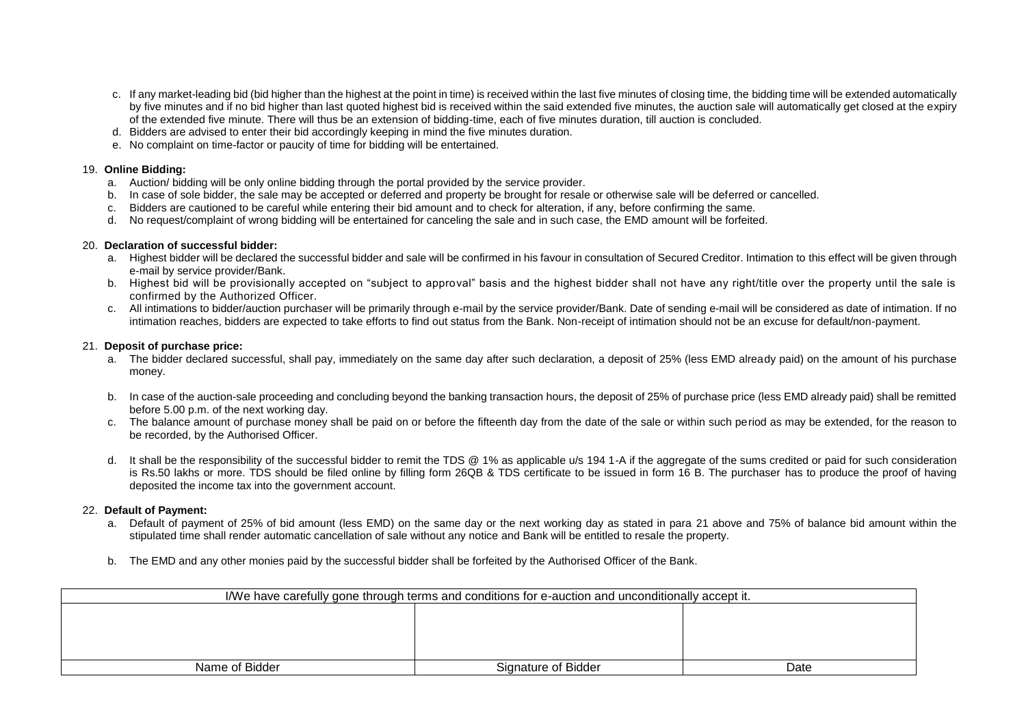- c. If any market-leading bid (bid higher than the highest at the point in time) is received within the last five minutes of closing time, the bidding time will be extended automatically by five minutes and if no bid higher than last quoted highest bid is received within the said extended five minutes, the auction sale will automatically get closed at the expiry of the extended five minute. There will thus be an extension of bidding-time, each of five minutes duration, till auction is concluded.
- d. Bidders are advised to enter their bid accordingly keeping in mind the five minutes duration.
- e. No complaint on time-factor or paucity of time for bidding will be entertained.

#### 19. **Online Bidding:**

- a. Auction/ bidding will be only online bidding through the portal provided by the service provider.
- b. In case of sole bidder, the sale may be accepted or deferred and property be brought for resale or otherwise sale will be deferred or cancelled.
- c. Bidders are cautioned to be careful while entering their bid amount and to check for alteration, if any, before confirming the same.
- d. No request/complaint of wrong bidding will be entertained for canceling the sale and in such case, the EMD amount will be forfeited.

#### 20. **Declaration of successful bidder:**

- a. Highest bidder will be declared the successful bidder and sale will be confirmed in his favour in consultation of Secured Creditor. Intimation to this effect will be given through e-mail by service provider/Bank.
- b. Highest bid will be provisionally accepted on "subject to approval" basis and the highest bidder shall not have any right/title over the property until the sale is confirmed by the Authorized Officer.
- c. All intimations to bidder/auction purchaser will be primarily through e-mail by the service provider/Bank. Date of sending e-mail will be considered as date of intimation. If no intimation reaches, bidders are expected to take efforts to find out status from the Bank. Non-receipt of intimation should not be an excuse for default/non-payment.

## 21. **Deposit of purchase price:**

- a. The bidder declared successful, shall pay, immediately on the same day after such declaration, a deposit of 25% (less EMD already paid) on the amount of his purchase money.
- b. In case of the auction-sale proceeding and concluding beyond the banking transaction hours, the deposit of 25% of purchase price (less EMD already paid) shall be remitted before 5.00 p.m. of the next working day.
- c. The balance amount of purchase money shall be paid on or before the fifteenth day from the date of the sale or within such period as may be extended, for the reason to be recorded, by the Authorised Officer.
- d. It shall be the responsibility of the successful bidder to remit the TDS @ 1% as applicable u/s 194 1-A if the aggregate of the sums credited or paid for such consideration is Rs.50 lakhs or more. TDS should be filed online by filling form 26QB & TDS certificate to be issued in form 16 B. The purchaser has to produce the proof of having deposited the income tax into the government account.

## 22. **Default of Payment:**

- a. Default of payment of 25% of bid amount (less EMD) on the same day or the next working day as stated in para 21 above and 75% of balance bid amount within the stipulated time shall render automatic cancellation of sale without any notice and Bank will be entitled to resale the property.
- b. The EMD and any other monies paid by the successful bidder shall be forfeited by the Authorised Officer of the Bank.

| I/We have carefully gone through terms and conditions for e-auction and unconditionally accept it. |                     |      |  |  |
|----------------------------------------------------------------------------------------------------|---------------------|------|--|--|
|                                                                                                    |                     |      |  |  |
|                                                                                                    |                     |      |  |  |
|                                                                                                    |                     |      |  |  |
|                                                                                                    |                     |      |  |  |
| Name of Bidder                                                                                     | Signature of Bidder | Date |  |  |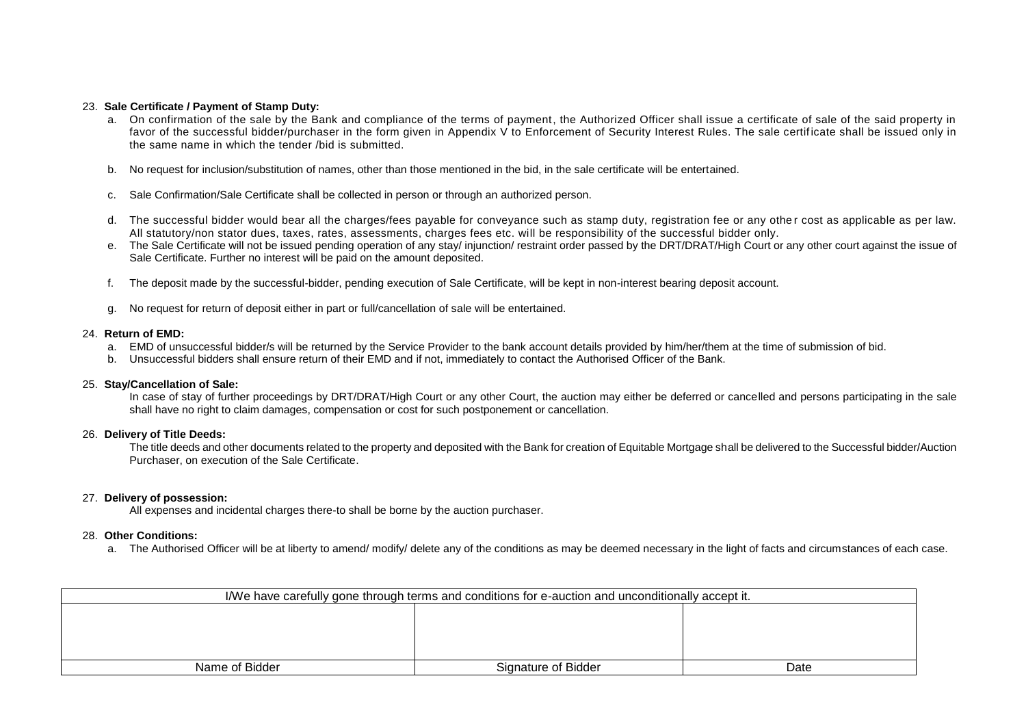#### 23. **Sale Certificate / Payment of Stamp Duty:**

- a. On confirmation of the sale by the Bank and compliance of the terms of payment, the Authorized Officer shall issue a certificate of sale of the said property in favor of the successful bidder/purchaser in the form given in Appendix V to Enforcement of Security Interest Rules. The sale certificate shall be issued only in the same name in which the tender /bid is submitted.
- b. No request for inclusion/substitution of names, other than those mentioned in the bid, in the sale certificate will be entertained.
- c. Sale Confirmation/Sale Certificate shall be collected in person or through an authorized person.
- d. The successful bidder would bear all the charges/fees payable for conveyance such as stamp duty, registration fee or any othe r cost as applicable as per law. All statutory/non stator dues, taxes, rates, assessments, charges fees etc. will be responsibility of the successful bidder only.
- e. The Sale Certificate will not be issued pending operation of any stay/ injunction/ restraint order passed by the DRT/DRAT/High Court or any other court against the issue of Sale Certificate. Further no interest will be paid on the amount deposited.
- f. The deposit made by the successful-bidder, pending execution of Sale Certificate, will be kept in non-interest bearing deposit account.
- g. No request for return of deposit either in part or full/cancellation of sale will be entertained.

#### 24. **Return of EMD:**

- a. EMD of unsuccessful bidder/s will be returned by the Service Provider to the bank account details provided by him/her/them at the time of submission of bid.
- b. Unsuccessful bidders shall ensure return of their EMD and if not, immediately to contact the Authorised Officer of the Bank.

#### 25. **Stay/Cancellation of Sale:**

In case of stay of further proceedings by DRT/DRAT/High Court or any other Court, the auction may either be deferred or cancelled and persons participating in the sale shall have no right to claim damages, compensation or cost for such postponement or cancellation.

#### 26. **Delivery of Title Deeds:**

The title deeds and other documents related to the property and deposited with the Bank for creation of Equitable Mortgage shall be delivered to the Successful bidder/Auction Purchaser, on execution of the Sale Certificate.

#### 27. **Delivery of possession:**

All expenses and incidental charges there-to shall be borne by the auction purchaser.

#### 28. **Other Conditions:**

a. The Authorised Officer will be at liberty to amend/modify/ delete any of the conditions as may be deemed necessary in the light of facts and circumstances of each case.

| I/We have carefully gone through terms and conditions for e-auction and unconditionally accept it. |                     |      |  |  |
|----------------------------------------------------------------------------------------------------|---------------------|------|--|--|
|                                                                                                    |                     |      |  |  |
|                                                                                                    |                     |      |  |  |
|                                                                                                    |                     |      |  |  |
|                                                                                                    |                     |      |  |  |
| Name of Bidder                                                                                     | Signature of Bidder | Date |  |  |